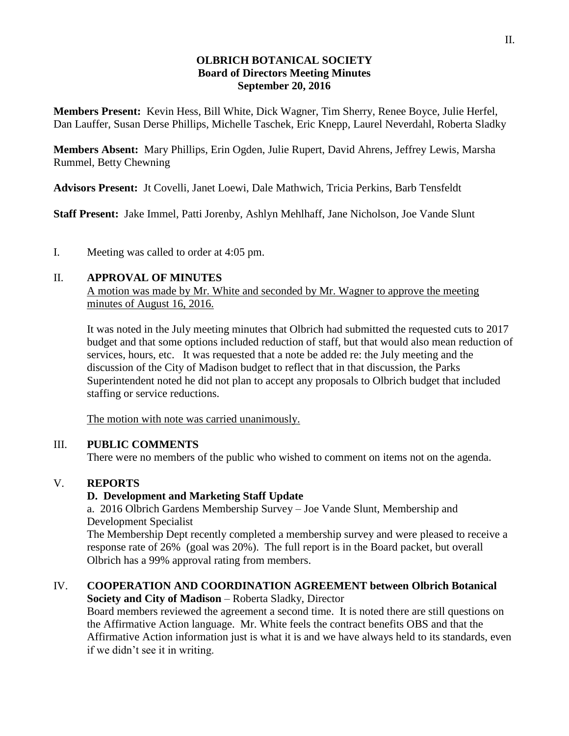#### **OLBRICH BOTANICAL SOCIETY Board of Directors Meeting Minutes September 20, 2016**

**Members Present:** Kevin Hess, Bill White, Dick Wagner, Tim Sherry, Renee Boyce, Julie Herfel, Dan Lauffer, Susan Derse Phillips, Michelle Taschek, Eric Knepp, Laurel Neverdahl, Roberta Sladky

**Members Absent:** Mary Phillips, Erin Ogden, Julie Rupert, David Ahrens, Jeffrey Lewis, Marsha Rummel, Betty Chewning

**Advisors Present:** Jt Covelli, Janet Loewi, Dale Mathwich, Tricia Perkins, Barb Tensfeldt

**Staff Present:** Jake Immel, Patti Jorenby, Ashlyn Mehlhaff, Jane Nicholson, Joe Vande Slunt

I. Meeting was called to order at 4:05 pm.

### II. **APPROVAL OF MINUTES**

A motion was made by Mr. White and seconded by Mr. Wagner to approve the meeting minutes of August 16, 2016.

It was noted in the July meeting minutes that Olbrich had submitted the requested cuts to 2017 budget and that some options included reduction of staff, but that would also mean reduction of services, hours, etc. It was requested that a note be added re: the July meeting and the discussion of the City of Madison budget to reflect that in that discussion, the Parks Superintendent noted he did not plan to accept any proposals to Olbrich budget that included staffing or service reductions.

The motion with note was carried unanimously.

## III. **PUBLIC COMMENTS**

There were no members of the public who wished to comment on items not on the agenda.

## V. **REPORTS**

## **D. Development and Marketing Staff Update**

a. 2016 Olbrich Gardens Membership Survey – Joe Vande Slunt, Membership and Development Specialist

The Membership Dept recently completed a membership survey and were pleased to receive a response rate of 26% (goal was 20%). The full report is in the Board packet, but overall Olbrich has a 99% approval rating from members.

#### IV. **COOPERATION AND COORDINATION AGREEMENT between Olbrich Botanical Society and City of Madison** – Roberta Sladky, Director

Board members reviewed the agreement a second time. It is noted there are still questions on the Affirmative Action language. Mr. White feels the contract benefits OBS and that the Affirmative Action information just is what it is and we have always held to its standards, even if we didn't see it in writing.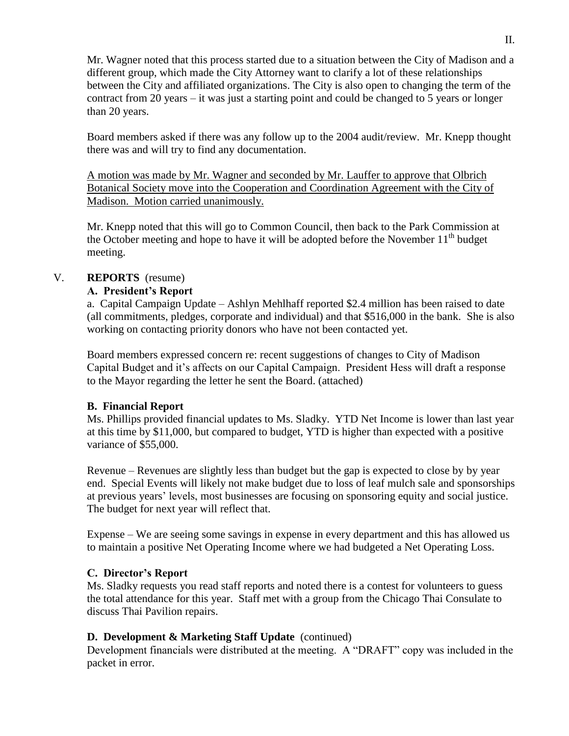Mr. Wagner noted that this process started due to a situation between the City of Madison and a different group, which made the City Attorney want to clarify a lot of these relationships between the City and affiliated organizations. The City is also open to changing the term of the contract from 20 years  $-$  it was just a starting point and could be changed to 5 years or longer than 20 years.

Board members asked if there was any follow up to the 2004 audit/review. Mr. Knepp thought there was and will try to find any documentation.

A motion was made by Mr. Wagner and seconded by Mr. Lauffer to approve that Olbrich Botanical Society move into the Cooperation and Coordination Agreement with the City of Madison. Motion carried unanimously.

Mr. Knepp noted that this will go to Common Council, then back to the Park Commission at the October meeting and hope to have it will be adopted before the November  $11<sup>th</sup>$  budget meeting.

# V. **REPORTS** (resume)

## **A. President's Report**

a. Capital Campaign Update – Ashlyn Mehlhaff reported \$2.4 million has been raised to date (all commitments, pledges, corporate and individual) and that \$516,000 in the bank. She is also working on contacting priority donors who have not been contacted yet.

Board members expressed concern re: recent suggestions of changes to City of Madison Capital Budget and it's affects on our Capital Campaign. President Hess will draft a response to the Mayor regarding the letter he sent the Board. (attached)

### **B. Financial Report**

Ms. Phillips provided financial updates to Ms. Sladky. YTD Net Income is lower than last year at this time by \$11,000, but compared to budget, YTD is higher than expected with a positive variance of \$55,000.

Revenue – Revenues are slightly less than budget but the gap is expected to close by by year end. Special Events will likely not make budget due to loss of leaf mulch sale and sponsorships at previous years' levels, most businesses are focusing on sponsoring equity and social justice. The budget for next year will reflect that.

Expense – We are seeing some savings in expense in every department and this has allowed us to maintain a positive Net Operating Income where we had budgeted a Net Operating Loss.

## **C. Director's Report**

Ms. Sladky requests you read staff reports and noted there is a contest for volunteers to guess the total attendance for this year. Staff met with a group from the Chicago Thai Consulate to discuss Thai Pavilion repairs.

## **D. Development & Marketing Staff Update** (continued)

Development financials were distributed at the meeting. A "DRAFT" copy was included in the packet in error.